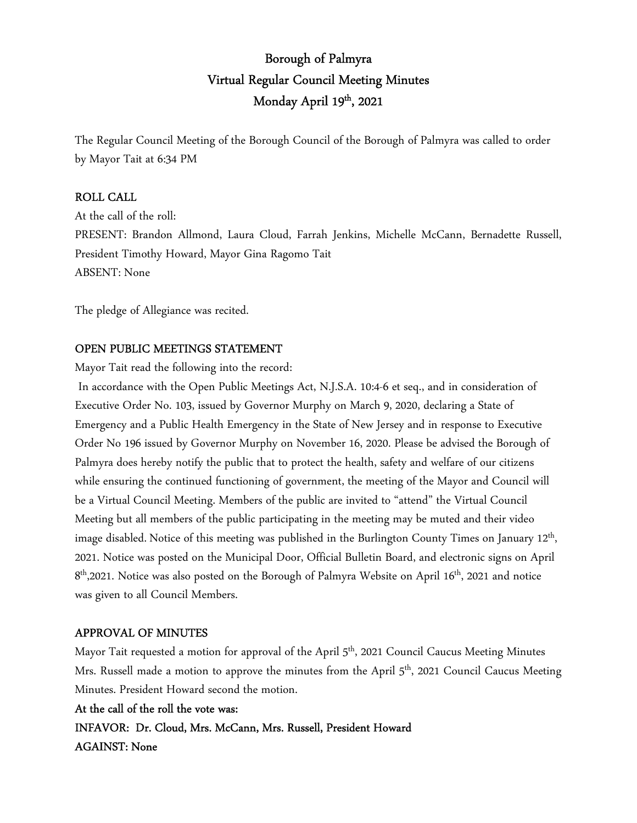# Borough of Palmyra Virtual Regular Council Meeting Minutes Monday April 19th, 2021

The Regular Council Meeting of the Borough Council of the Borough of Palmyra was called to order by Mayor Tait at 6:34 PM

# ROLL CALL

At the call of the roll: PRESENT: Brandon Allmond, Laura Cloud, Farrah Jenkins, Michelle McCann, Bernadette Russell, President Timothy Howard, Mayor Gina Ragomo Tait ABSENT: None

The pledge of Allegiance was recited.

# OPEN PUBLIC MEETINGS STATEMENT

Mayor Tait read the following into the record:

 In accordance with the Open Public Meetings Act, N.J.S.A. 10:4-6 et seq., and in consideration of Executive Order No. 103, issued by Governor Murphy on March 9, 2020, declaring a State of Emergency and a Public Health Emergency in the State of New Jersey and in response to Executive Order No 196 issued by Governor Murphy on November 16, 2020. Please be advised the Borough of Palmyra does hereby notify the public that to protect the health, safety and welfare of our citizens while ensuring the continued functioning of government, the meeting of the Mayor and Council will be a Virtual Council Meeting. Members of the public are invited to "attend" the Virtual Council Meeting but all members of the public participating in the meeting may be muted and their video image disabled. Notice of this meeting was published in the Burlington County Times on January 12<sup>th</sup>, 2021. Notice was posted on the Municipal Door, Official Bulletin Board, and electronic signs on April 8 th,2021. Notice was also posted on the Borough of Palmyra Website on April 16th, 2021 and notice was given to all Council Members.

# APPROVAL OF MINUTES

Mayor Tait requested a motion for approval of the April 5<sup>th</sup>, 2021 Council Caucus Meeting Minutes Mrs. Russell made a motion to approve the minutes from the April  $5<sup>th</sup>$ , 2021 Council Caucus Meeting Minutes. President Howard second the motion.

# At the call of the roll the vote was:

INFAVOR: Dr. Cloud, Mrs. McCann, Mrs. Russell, President Howard AGAINST: None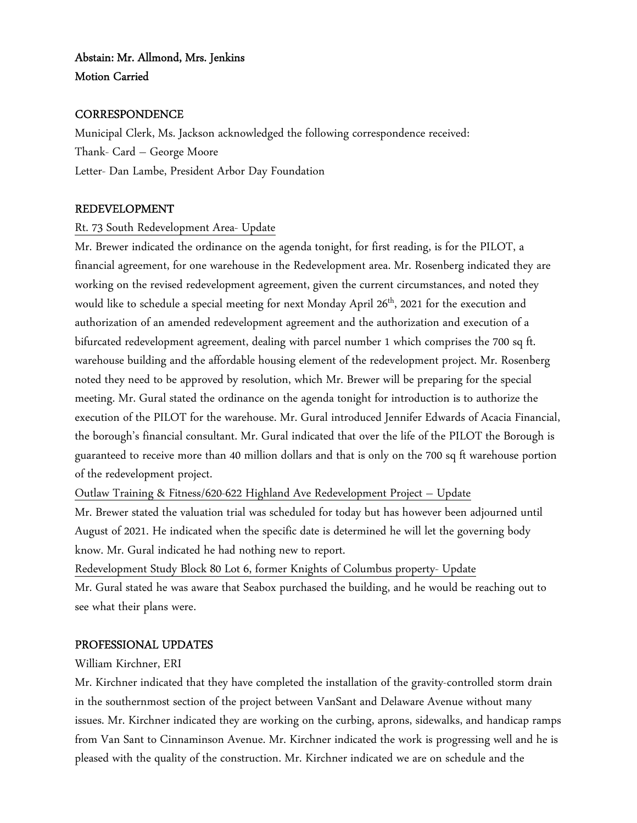# Abstain: Mr. Allmond, Mrs. Jenkins Motion Carried

# **CORRESPONDENCE**

Municipal Clerk, Ms. Jackson acknowledged the following correspondence received: Thank- Card – George Moore Letter- Dan Lambe, President Arbor Day Foundation

# REDEVELOPMENT

#### Rt. 73 South Redevelopment Area- Update

Mr. Brewer indicated the ordinance on the agenda tonight, for first reading, is for the PILOT, a financial agreement, for one warehouse in the Redevelopment area. Mr. Rosenberg indicated they are working on the revised redevelopment agreement, given the current circumstances, and noted they would like to schedule a special meeting for next Monday April 26<sup>th</sup>, 2021 for the execution and authorization of an amended redevelopment agreement and the authorization and execution of a bifurcated redevelopment agreement, dealing with parcel number 1 which comprises the 700 sq ft. warehouse building and the affordable housing element of the redevelopment project. Mr. Rosenberg noted they need to be approved by resolution, which Mr. Brewer will be preparing for the special meeting. Mr. Gural stated the ordinance on the agenda tonight for introduction is to authorize the execution of the PILOT for the warehouse. Mr. Gural introduced Jennifer Edwards of Acacia Financial, the borough's financial consultant. Mr. Gural indicated that over the life of the PILOT the Borough is guaranteed to receive more than 40 million dollars and that is only on the 700 sq ft warehouse portion of the redevelopment project.

Outlaw Training & Fitness/620-622 Highland Ave Redevelopment Project – Update

Mr. Brewer stated the valuation trial was scheduled for today but has however been adjourned until August of 2021. He indicated when the specific date is determined he will let the governing body know. Mr. Gural indicated he had nothing new to report.

Redevelopment Study Block 80 Lot 6, former Knights of Columbus property- Update Mr. Gural stated he was aware that Seabox purchased the building, and he would be reaching out to see what their plans were.

# PROFESSIONAL UPDATES

#### William Kirchner, ERI

Mr. Kirchner indicated that they have completed the installation of the gravity-controlled storm drain in the southernmost section of the project between VanSant and Delaware Avenue without many issues. Mr. Kirchner indicated they are working on the curbing, aprons, sidewalks, and handicap ramps from Van Sant to Cinnaminson Avenue. Mr. Kirchner indicated the work is progressing well and he is pleased with the quality of the construction. Mr. Kirchner indicated we are on schedule and the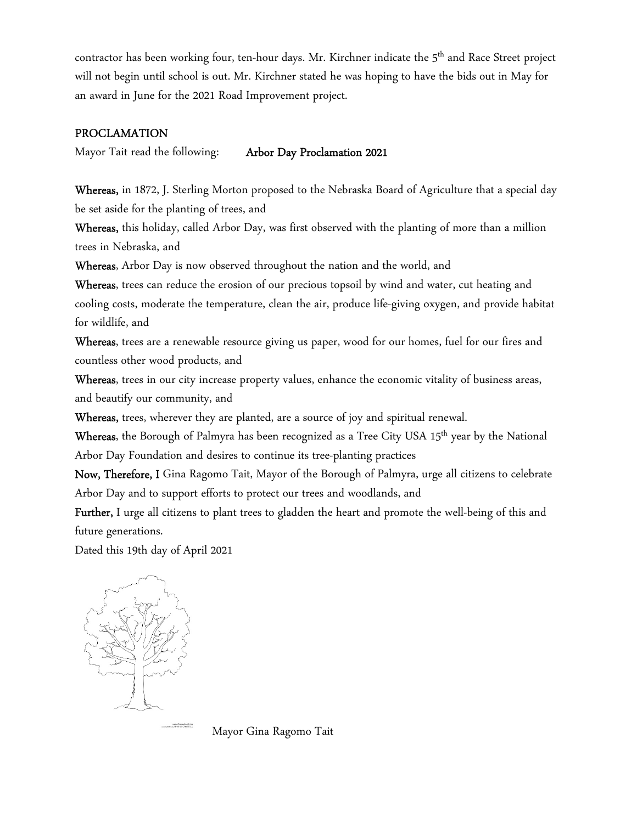contractor has been working four, ten-hour days. Mr. Kirchner indicate the 5<sup>th</sup> and Race Street project will not begin until school is out. Mr. Kirchner stated he was hoping to have the bids out in May for an award in June for the 2021 Road Improvement project.

### PROCLAMATION

Mayor Tait read the following: Arbor Day Proclamation 2021

Whereas, in 1872, J. Sterling Morton proposed to the Nebraska Board of Agriculture that a special day be set aside for the planting of trees, and

Whereas, this holiday, called Arbor Day, was first observed with the planting of more than a million trees in Nebraska, and

Whereas, Arbor Day is now observed throughout the nation and the world, and

Whereas, trees can reduce the erosion of our precious topsoil by wind and water, cut heating and cooling costs, moderate the temperature, clean the air, produce life-giving oxygen, and provide habitat for wildlife, and

Whereas, trees are a renewable resource giving us paper, wood for our homes, fuel for our fires and countless other wood products, and

Whereas, trees in our city increase property values, enhance the economic vitality of business areas, and beautify our community, and

Whereas, trees, wherever they are planted, are a source of joy and spiritual renewal.

Whereas, the Borough of Palmyra has been recognized as a Tree City USA 15<sup>th</sup> year by the National Arbor Day Foundation and desires to continue its tree-planting practices

Now, Therefore, I Gina Ragomo Tait, Mayor of the Borough of Palmyra, urge all citizens to celebrate Arbor Day and to support efforts to protect our trees and woodlands, and

Further, I urge all citizens to plant trees to gladden the heart and promote the well-being of this and future generations.

Dated this 19th day of April 2021



Mayor Gina Ragomo Tait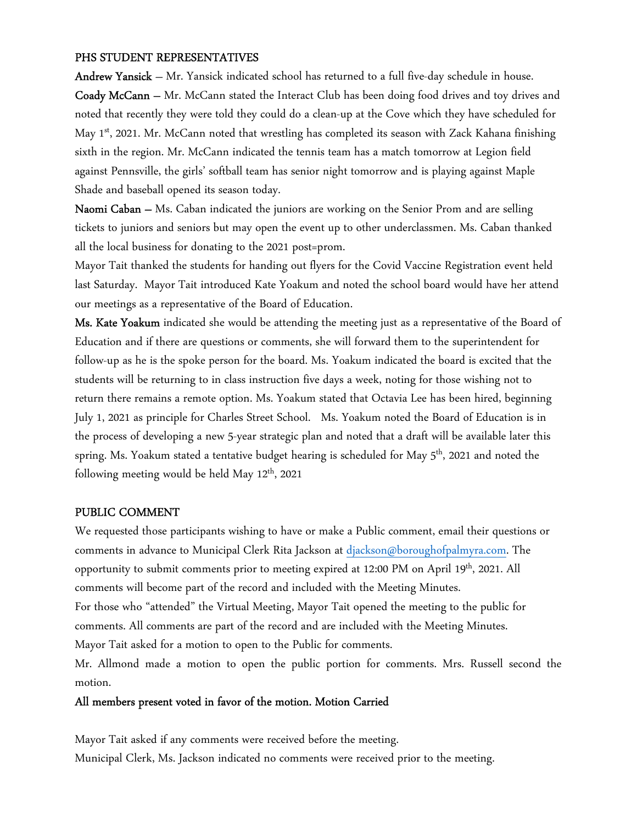### PHS STUDENT REPRESENTATIVES

Andrew Yansick – Mr. Yansick indicated school has returned to a full five-day schedule in house. Coady McCann – Mr. McCann stated the Interact Club has been doing food drives and toy drives and noted that recently they were told they could do a clean-up at the Cove which they have scheduled for May 1<sup>st</sup>, 2021. Mr. McCann noted that wrestling has completed its season with Zack Kahana finishing sixth in the region. Mr. McCann indicated the tennis team has a match tomorrow at Legion field against Pennsville, the girls' softball team has senior night tomorrow and is playing against Maple Shade and baseball opened its season today.

Naomi Caban – Ms. Caban indicated the juniors are working on the Senior Prom and are selling tickets to juniors and seniors but may open the event up to other underclassmen. Ms. Caban thanked all the local business for donating to the 2021 post=prom.

Mayor Tait thanked the students for handing out flyers for the Covid Vaccine Registration event held last Saturday. Mayor Tait introduced Kate Yoakum and noted the school board would have her attend our meetings as a representative of the Board of Education.

Ms. Kate Yoakum indicated she would be attending the meeting just as a representative of the Board of Education and if there are questions or comments, she will forward them to the superintendent for follow-up as he is the spoke person for the board. Ms. Yoakum indicated the board is excited that the students will be returning to in class instruction five days a week, noting for those wishing not to return there remains a remote option. Ms. Yoakum stated that Octavia Lee has been hired, beginning July 1, 2021 as principle for Charles Street School. Ms. Yoakum noted the Board of Education is in the process of developing a new 5-year strategic plan and noted that a draft will be available later this spring. Ms. Yoakum stated a tentative budget hearing is scheduled for May 5<sup>th</sup>, 2021 and noted the following meeting would be held May  $12<sup>th</sup>$ , 2021

#### PUBLIC COMMENT

We requested those participants wishing to have or make a Public comment, email their questions or comments in advance to Municipal Clerk Rita Jackson at djackson@boroughofpalmyra.com. The opportunity to submit comments prior to meeting expired at 12:00 PM on April 19<sup>th</sup>, 2021. All comments will become part of the record and included with the Meeting Minutes. For those who "attended" the Virtual Meeting, Mayor Tait opened the meeting to the public for comments. All comments are part of the record and are included with the Meeting Minutes. Mayor Tait asked for a motion to open to the Public for comments.

Mr. Allmond made a motion to open the public portion for comments. Mrs. Russell second the motion.

#### All members present voted in favor of the motion. Motion Carried

Mayor Tait asked if any comments were received before the meeting. Municipal Clerk, Ms. Jackson indicated no comments were received prior to the meeting.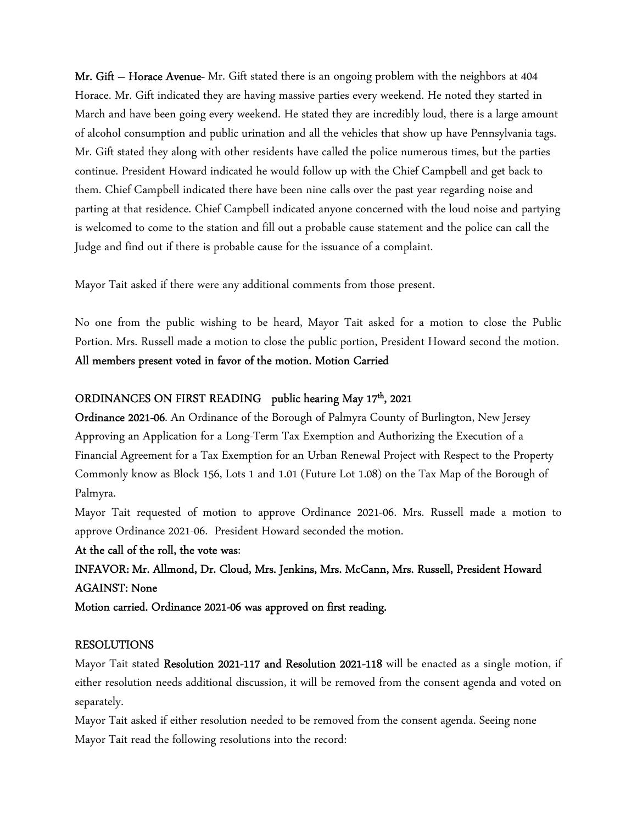Mr. Gift - Horace Avenue- Mr. Gift stated there is an ongoing problem with the neighbors at 404 Horace. Mr. Gift indicated they are having massive parties every weekend. He noted they started in March and have been going every weekend. He stated they are incredibly loud, there is a large amount of alcohol consumption and public urination and all the vehicles that show up have Pennsylvania tags. Mr. Gift stated they along with other residents have called the police numerous times, but the parties continue. President Howard indicated he would follow up with the Chief Campbell and get back to them. Chief Campbell indicated there have been nine calls over the past year regarding noise and parting at that residence. Chief Campbell indicated anyone concerned with the loud noise and partying is welcomed to come to the station and fill out a probable cause statement and the police can call the Judge and find out if there is probable cause for the issuance of a complaint.

Mayor Tait asked if there were any additional comments from those present.

No one from the public wishing to be heard, Mayor Tait asked for a motion to close the Public Portion. Mrs. Russell made a motion to close the public portion, President Howard second the motion. All members present voted in favor of the motion. Motion Carried

# ORDINANCES ON FIRST READING public hearing May 17<sup>th</sup>, 2021

Ordinance 2021-06. An Ordinance of the Borough of Palmyra County of Burlington, New Jersey Approving an Application for a Long-Term Tax Exemption and Authorizing the Execution of a Financial Agreement for a Tax Exemption for an Urban Renewal Project with Respect to the Property Commonly know as Block 156, Lots 1 and 1.01 (Future Lot 1.08) on the Tax Map of the Borough of Palmyra.

Mayor Tait requested of motion to approve Ordinance 2021-06. Mrs. Russell made a motion to approve Ordinance 2021-06. President Howard seconded the motion.

At the call of the roll, the vote was:

INFAVOR: Mr. Allmond, Dr. Cloud, Mrs. Jenkins, Mrs. McCann, Mrs. Russell, President Howard AGAINST: None

Motion carried. Ordinance 2021-06 was approved on first reading.

#### RESOLUTIONS

Mayor Tait stated Resolution 2021-117 and Resolution 2021-118 will be enacted as a single motion, if either resolution needs additional discussion, it will be removed from the consent agenda and voted on separately.

Mayor Tait asked if either resolution needed to be removed from the consent agenda. Seeing none Mayor Tait read the following resolutions into the record: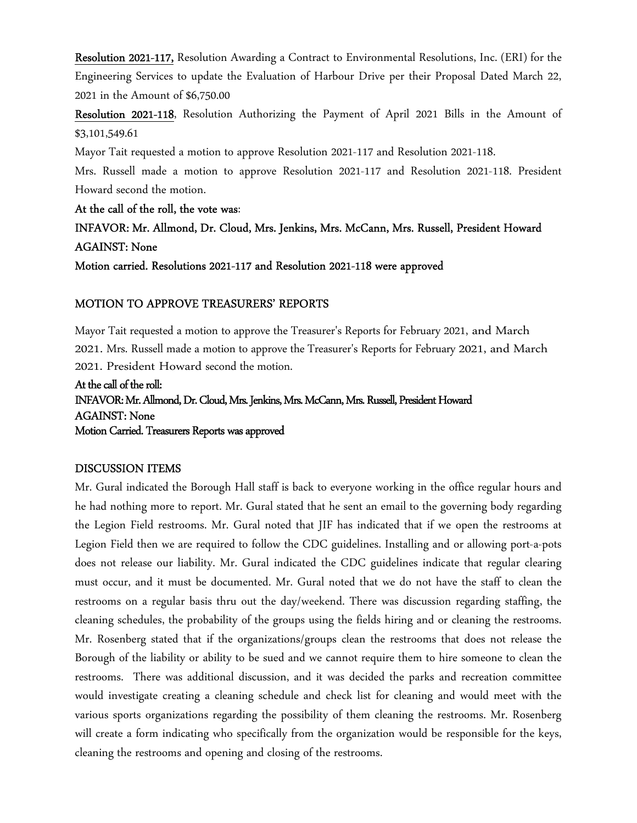Resolution 2021-117, Resolution Awarding a Contract to Environmental Resolutions, Inc. (ERI) for the Engineering Services to update the Evaluation of Harbour Drive per their Proposal Dated March 22, 2021 in the Amount of \$6,750.00

Resolution 2021-118, Resolution Authorizing the Payment of April 2021 Bills in the Amount of \$3,101,549.61

Mayor Tait requested a motion to approve Resolution 2021-117 and Resolution 2021-118.

Mrs. Russell made a motion to approve Resolution 2021-117 and Resolution 2021-118. President Howard second the motion.

At the call of the roll, the vote was:

# INFAVOR: Mr. Allmond, Dr. Cloud, Mrs. Jenkins, Mrs. McCann, Mrs. Russell, President Howard AGAINST: None

Motion carried. Resolutions 2021-117 and Resolution 2021-118 were approved

# MOTION TO APPROVE TREASURERS' REPORTS

Mayor Tait requested a motion to approve the Treasurer's Reports for February 2021, and March 2021. Mrs. Russell made a motion to approve the Treasurer's Reports for February 2021, and March 2021. President Howard second the motion.

# At the call of the roll: INFAVOR: Mr. Allmond, Dr. Cloud, Mrs. Jenkins, Mrs. McCann, Mrs. Russell, President Howard AGAINST: None Motion Carried. Treasurers Reports was approved

# DISCUSSION ITEMS

Mr. Gural indicated the Borough Hall staff is back to everyone working in the office regular hours and he had nothing more to report. Mr. Gural stated that he sent an email to the governing body regarding the Legion Field restrooms. Mr. Gural noted that JIF has indicated that if we open the restrooms at Legion Field then we are required to follow the CDC guidelines. Installing and or allowing port-a-pots does not release our liability. Mr. Gural indicated the CDC guidelines indicate that regular clearing must occur, and it must be documented. Mr. Gural noted that we do not have the staff to clean the restrooms on a regular basis thru out the day/weekend. There was discussion regarding staffing, the cleaning schedules, the probability of the groups using the fields hiring and or cleaning the restrooms. Mr. Rosenberg stated that if the organizations/groups clean the restrooms that does not release the Borough of the liability or ability to be sued and we cannot require them to hire someone to clean the restrooms. There was additional discussion, and it was decided the parks and recreation committee would investigate creating a cleaning schedule and check list for cleaning and would meet with the various sports organizations regarding the possibility of them cleaning the restrooms. Mr. Rosenberg will create a form indicating who specifically from the organization would be responsible for the keys, cleaning the restrooms and opening and closing of the restrooms.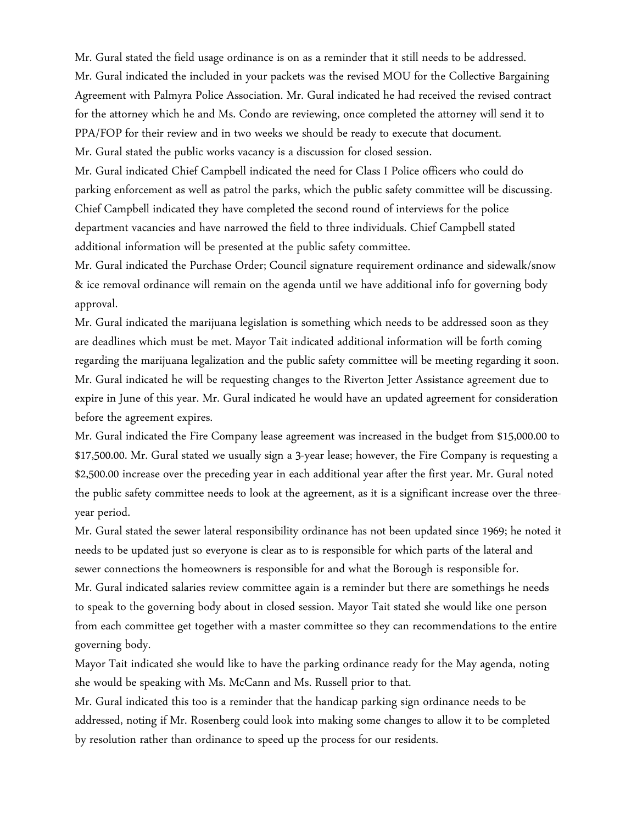Mr. Gural stated the field usage ordinance is on as a reminder that it still needs to be addressed. Mr. Gural indicated the included in your packets was the revised MOU for the Collective Bargaining Agreement with Palmyra Police Association. Mr. Gural indicated he had received the revised contract for the attorney which he and Ms. Condo are reviewing, once completed the attorney will send it to PPA/FOP for their review and in two weeks we should be ready to execute that document. Mr. Gural stated the public works vacancy is a discussion for closed session.

Mr. Gural indicated Chief Campbell indicated the need for Class I Police officers who could do parking enforcement as well as patrol the parks, which the public safety committee will be discussing. Chief Campbell indicated they have completed the second round of interviews for the police department vacancies and have narrowed the field to three individuals. Chief Campbell stated additional information will be presented at the public safety committee.

Mr. Gural indicated the Purchase Order; Council signature requirement ordinance and sidewalk/snow & ice removal ordinance will remain on the agenda until we have additional info for governing body approval.

Mr. Gural indicated the marijuana legislation is something which needs to be addressed soon as they are deadlines which must be met. Mayor Tait indicated additional information will be forth coming regarding the marijuana legalization and the public safety committee will be meeting regarding it soon. Mr. Gural indicated he will be requesting changes to the Riverton Jetter Assistance agreement due to expire in June of this year. Mr. Gural indicated he would have an updated agreement for consideration before the agreement expires.

Mr. Gural indicated the Fire Company lease agreement was increased in the budget from \$15,000.00 to \$17,500.00. Mr. Gural stated we usually sign a 3-year lease; however, the Fire Company is requesting a \$2,500.00 increase over the preceding year in each additional year after the first year. Mr. Gural noted the public safety committee needs to look at the agreement, as it is a significant increase over the threeyear period.

Mr. Gural stated the sewer lateral responsibility ordinance has not been updated since 1969; he noted it needs to be updated just so everyone is clear as to is responsible for which parts of the lateral and sewer connections the homeowners is responsible for and what the Borough is responsible for. Mr. Gural indicated salaries review committee again is a reminder but there are somethings he needs to speak to the governing body about in closed session. Mayor Tait stated she would like one person from each committee get together with a master committee so they can recommendations to the entire governing body.

Mayor Tait indicated she would like to have the parking ordinance ready for the May agenda, noting she would be speaking with Ms. McCann and Ms. Russell prior to that.

Mr. Gural indicated this too is a reminder that the handicap parking sign ordinance needs to be addressed, noting if Mr. Rosenberg could look into making some changes to allow it to be completed by resolution rather than ordinance to speed up the process for our residents.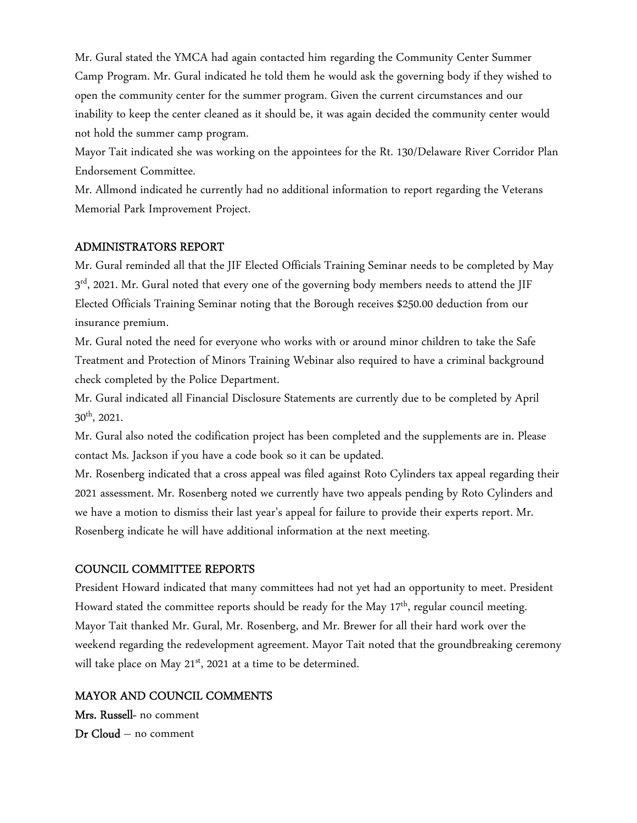Mr. Gural stated the YMCA had again contacted him regarding the Community Center Summer Camp Program. Mr. Gural indicated he told them he would ask the governing body if they wished to open the community center for the summer program. Given the current circumstances and our inability to keep the center cleaned as it should be, it was again decided the community center would not hold the summer camp program.

Mayor Tait indicated she was working on the appointees for the Rt. 130/Delaware River Corridor Plan Endorsement Committee.

Mr. Allmond indicated he currently had no additional information to report regarding the Veterans Memorial Park Improvement Project.

#### ADMINISTRATORS REPORT

Mr. Gural reminded all that the JIF Elected Officials Training Seminar needs to be completed by May  $3^{\rm rd}$ , 2021. Mr. Gural noted that every one of the governing body members needs to attend the JIF Elected Officials Training Seminar noting that the Borough receives \$250.00 deduction from our insurance premium.

Mr. Gural noted the need for everyone who works with or around minor children to take the Safe Treatment and Protection of Minors Training Webinar also required to have a criminal background check completed by the Police Department.

Mr. Gural indicated all Financial Disclosure Statements are currently due to be completed by April 30th, 2021.

Mr. Gural also noted the codification project has been completed and the supplements are in. Please contact Ms. Jackson if you have a code book so it can be updated.

Mr. Rosenberg indicated that a cross appeal was filed against Roto Cylinders tax appeal regarding their 2021 assessment. Mr. Rosenberg noted we currently have two appeals pending by Roto Cylinders and we have a motion to dismiss their last year's appeal for failure to provide their experts report. Mr. Rosenberg indicate he will have additional information at the next meeting.

# COUNCIL COMMITTEE REPORTS

President Howard indicated that many committees had not yet had an opportunity to meet. President Howard stated the committee reports should be ready for the May  $17<sup>th</sup>$ , regular council meeting. Mayor Tait thanked Mr. Gural, Mr. Rosenberg, and Mr. Brewer for all their hard work over the weekend regarding the redevelopment agreement. Mayor Tait noted that the groundbreaking ceremony will take place on May  $21^{st}$ , 2021 at a time to be determined.

# MAYOR AND COUNCIL COMMENTS

Mrs. Russell- no comment Dr Cloud – no comment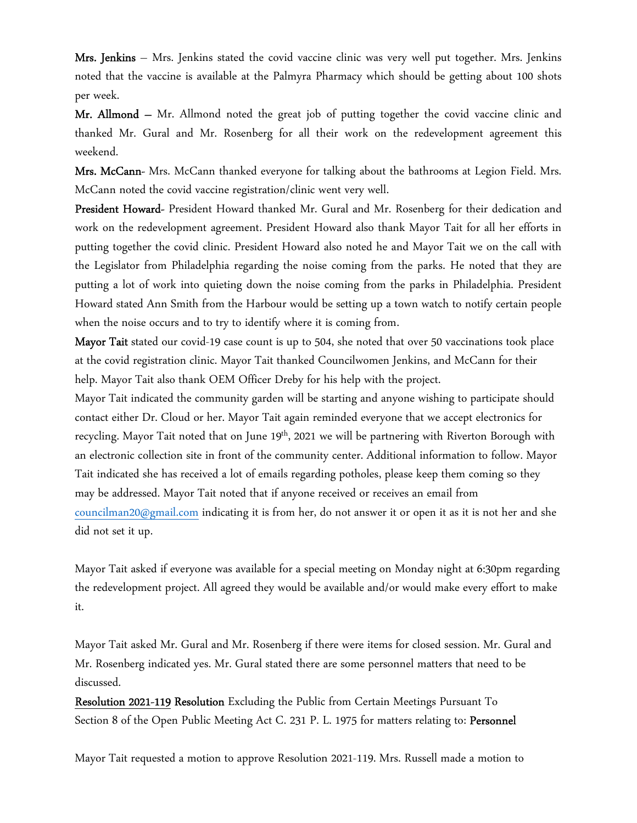Mrs. Jenkins – Mrs. Jenkins stated the covid vaccine clinic was very well put together. Mrs. Jenkins noted that the vaccine is available at the Palmyra Pharmacy which should be getting about 100 shots per week.

Mr. Allmond – Mr. Allmond noted the great job of putting together the covid vaccine clinic and thanked Mr. Gural and Mr. Rosenberg for all their work on the redevelopment agreement this weekend.

Mrs. McCann- Mrs. McCann thanked everyone for talking about the bathrooms at Legion Field. Mrs. McCann noted the covid vaccine registration/clinic went very well.

President Howard- President Howard thanked Mr. Gural and Mr. Rosenberg for their dedication and work on the redevelopment agreement. President Howard also thank Mayor Tait for all her efforts in putting together the covid clinic. President Howard also noted he and Mayor Tait we on the call with the Legislator from Philadelphia regarding the noise coming from the parks. He noted that they are putting a lot of work into quieting down the noise coming from the parks in Philadelphia. President Howard stated Ann Smith from the Harbour would be setting up a town watch to notify certain people when the noise occurs and to try to identify where it is coming from.

Mayor Tait stated our covid-19 case count is up to 504, she noted that over 50 vaccinations took place at the covid registration clinic. Mayor Tait thanked Councilwomen Jenkins, and McCann for their help. Mayor Tait also thank OEM Officer Dreby for his help with the project.

Mayor Tait indicated the community garden will be starting and anyone wishing to participate should contact either Dr. Cloud or her. Mayor Tait again reminded everyone that we accept electronics for recycling. Mayor Tait noted that on June  $19<sup>th</sup>$ , 2021 we will be partnering with Riverton Borough with an electronic collection site in front of the community center. Additional information to follow. Mayor Tait indicated she has received a lot of emails regarding potholes, please keep them coming so they may be addressed. Mayor Tait noted that if anyone received or receives an email from councilman20@gmail.com indicating it is from her, do not answer it or open it as it is not her and she did not set it up.

Mayor Tait asked if everyone was available for a special meeting on Monday night at 6:30pm regarding the redevelopment project. All agreed they would be available and/or would make every effort to make it.

Mayor Tait asked Mr. Gural and Mr. Rosenberg if there were items for closed session. Mr. Gural and Mr. Rosenberg indicated yes. Mr. Gural stated there are some personnel matters that need to be discussed.

Resolution 2021-119 Resolution Excluding the Public from Certain Meetings Pursuant To Section 8 of the Open Public Meeting Act C. 231 P. L. 1975 for matters relating to: Personnel

Mayor Tait requested a motion to approve Resolution 2021-119. Mrs. Russell made a motion to